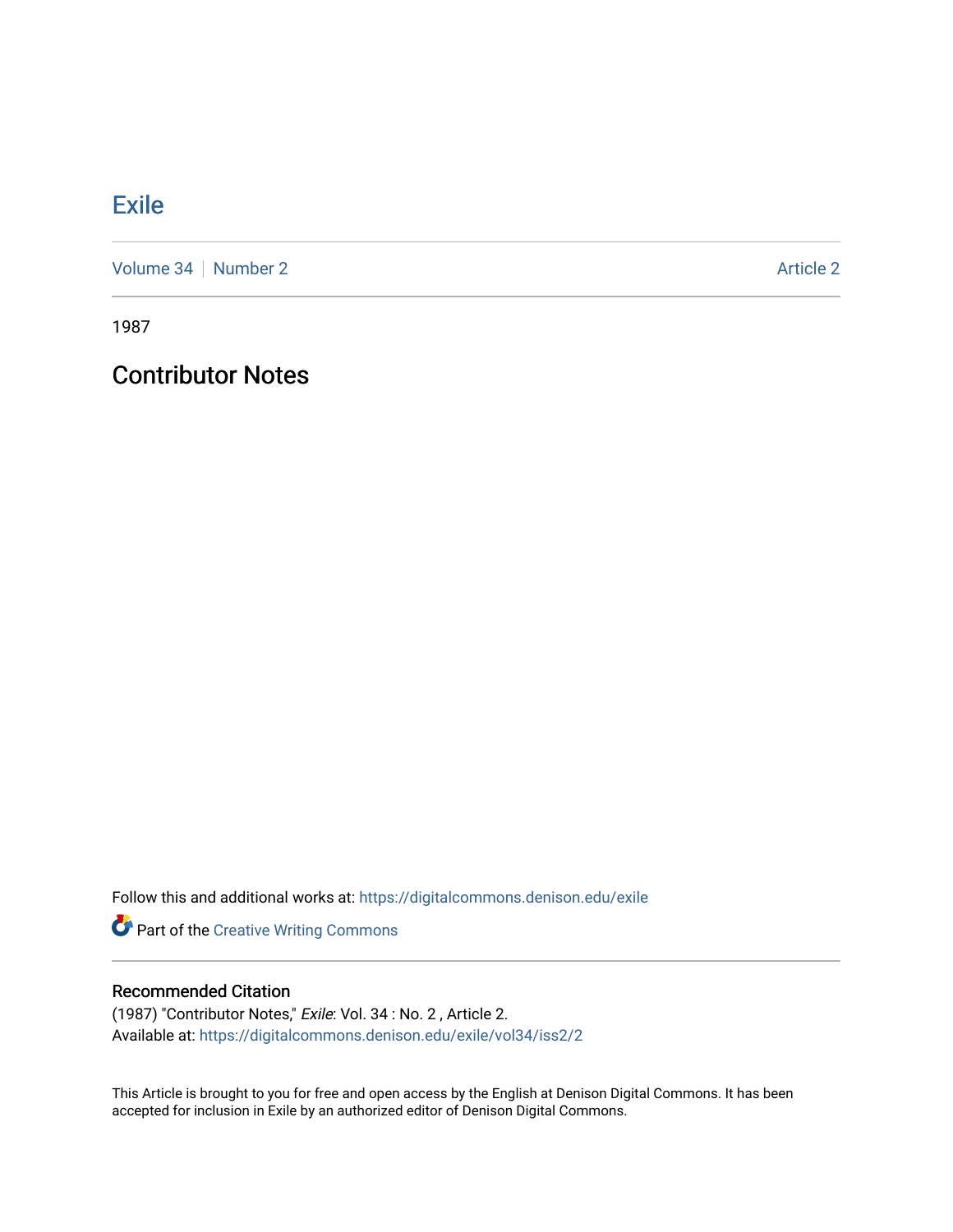## **[Exile](https://digitalcommons.denison.edu/exile)**

[Volume 34](https://digitalcommons.denison.edu/exile/vol34) [Number 2](https://digitalcommons.denison.edu/exile/vol34/iss2) Article 2

1987

## Contributor Notes

Follow this and additional works at: [https://digitalcommons.denison.edu/exile](https://digitalcommons.denison.edu/exile?utm_source=digitalcommons.denison.edu%2Fexile%2Fvol34%2Fiss2%2F2&utm_medium=PDF&utm_campaign=PDFCoverPages) 

Part of the [Creative Writing Commons](http://network.bepress.com/hgg/discipline/574?utm_source=digitalcommons.denison.edu%2Fexile%2Fvol34%2Fiss2%2F2&utm_medium=PDF&utm_campaign=PDFCoverPages) 

## Recommended Citation

(1987) "Contributor Notes," Exile: Vol. 34 : No. 2 , Article 2. Available at: [https://digitalcommons.denison.edu/exile/vol34/iss2/2](https://digitalcommons.denison.edu/exile/vol34/iss2/2?utm_source=digitalcommons.denison.edu%2Fexile%2Fvol34%2Fiss2%2F2&utm_medium=PDF&utm_campaign=PDFCoverPages) 

This Article is brought to you for free and open access by the English at Denison Digital Commons. It has been accepted for inclusion in Exile by an authorized editor of Denison Digital Commons.